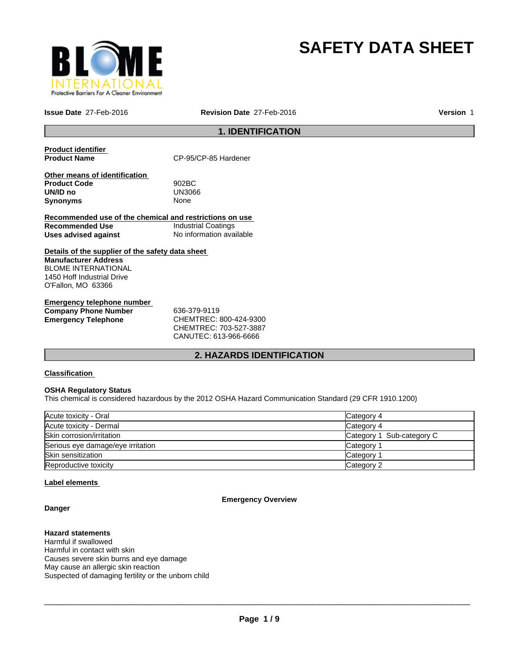

# **SAFETY DATA SHEET**

**Issue Date** 27-Feb-2016 **Revision Date** 27-Feb-2016

**Version** 1

# **1. IDENTIFICATION**

**Product identifier** 

CP-95/CP-85 Hardener

**Other means of identification Product Code** 902BC **UN/ID no** UN30<br>Synonyms None **Synonyms** 

**Recommended use of the chemical and restrictions on use Recommended Use Industrial Coatings**<br> **Uses advised against Internation** No information available **Uses advised against** 

**Details of the supplier of the safety data sheet Manufacturer Address** BLOME INTERNATIONAL 1450 Hoff Industrial Drive O'Fallon, MO 63366

**Emergency telephone number Company Phone Number** 636-379-9119 **Emergency Telephone** CHEMTREC: 800-424-9300

CHEMTREC: 703-527-3887 CANUTEC: 613-966-6666

# **2. HAZARDS IDENTIFICATION**

# **Classification**

## **OSHA Regulatory Status**

This chemical is considered hazardous by the 2012 OSHA Hazard Communication Standard (29 CFR 1910.1200)

| Acute toxicity - Oral             | Category 4                |
|-----------------------------------|---------------------------|
| Acute toxicity - Dermal           | Category 4                |
| Skin corrosion/irritation         | Category 1 Sub-category C |
| Serious eye damage/eye irritation | Category                  |
| Skin sensitization                | Category                  |
| Reproductive toxicity             | Category 2                |

## **Label elements**

**Danger**

# **Emergency Overview**

**Hazard statements** Harmful if swallowed Harmful in contact with skin Causes severe skin burns and eye damage May cause an allergic skin reaction Suspected of damaging fertility or the unborn child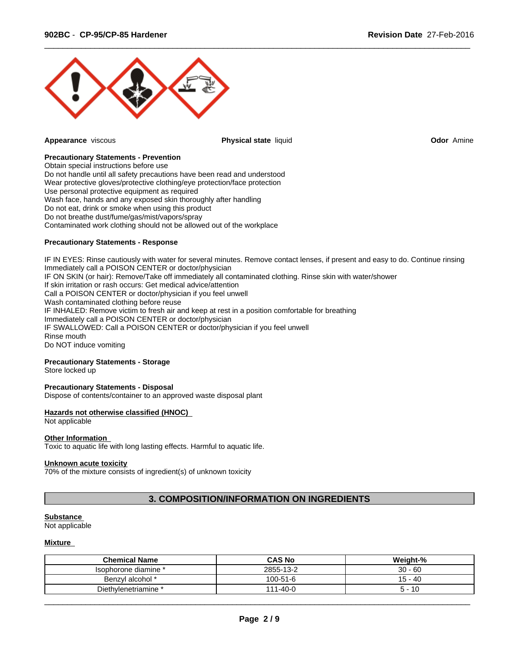

**Appearance** viscous **Physical state** liquid **Odor** Amine

 $\overline{\phantom{a}}$  ,  $\overline{\phantom{a}}$  ,  $\overline{\phantom{a}}$  ,  $\overline{\phantom{a}}$  ,  $\overline{\phantom{a}}$  ,  $\overline{\phantom{a}}$  ,  $\overline{\phantom{a}}$  ,  $\overline{\phantom{a}}$  ,  $\overline{\phantom{a}}$  ,  $\overline{\phantom{a}}$  ,  $\overline{\phantom{a}}$  ,  $\overline{\phantom{a}}$  ,  $\overline{\phantom{a}}$  ,  $\overline{\phantom{a}}$  ,  $\overline{\phantom{a}}$  ,  $\overline{\phantom{a}}$ 

#### **Precautionary Statements - Prevention**

Obtain special instructions before use Do not handle until all safety precautions have been read and understood Wear protective gloves/protective clothing/eye protection/face protection Use personal protective equipment as required Wash face, hands and any exposed skin thoroughly after handling Do not eat, drink or smoke when using this product Do not breathe dust/fume/gas/mist/vapors/spray Contaminated work clothing should not be allowed out of the workplace

#### **Precautionary Statements - Response**

IF IN EYES: Rinse cautiously with water for several minutes. Remove contact lenses, if present and easy to do. Continue rinsing Immediately call a POISON CENTER or doctor/physician IF ON SKIN (or hair): Remove/Take off immediately all contaminated clothing. Rinse skin with water/shower If skin irritation or rash occurs: Get medical advice/attention Call a POISON CENTER or doctor/physician if you feel unwell Wash contaminated clothing before reuse IF INHALED: Remove victim to fresh air and keep at rest in a position comfortable for breathing Immediately call a POISON CENTER or doctor/physician IF SWALLOWED: Call a POISON CENTER or doctor/physician if you feel unwell Rinse mouth Do NOT induce vomiting

## **Precautionary Statements - Storage**

Store locked up

#### **Precautionary Statements - Disposal**

Dispose of contents/container to an approved waste disposal plant

#### **Hazards not otherwise classified (HNOC)**

## Not applicable

#### **Other Information**

Toxic to aquatic life with long lasting effects. Harmful to aquatic life.

# **Unknown acute toxicity**

70% of the mixture consists of ingredient(s) of unknown toxicity

# **3. COMPOSITION/INFORMATION ON INGREDIENTS**

# **Substance**

Not applicable

# **Mixture**

| <b>Chemical Name</b> | <b>CAS No</b>       | Weight-%                     |
|----------------------|---------------------|------------------------------|
| lsophorone diamine * | 2855-13-2           | $30 - 60$                    |
| Benzyl alcohol *     | 100-51-6            | 15 - 40                      |
| Diethylenetriamine * | $1 - 40 - 0$<br>111 | - 10<br>$\ddot{\phantom{1}}$ |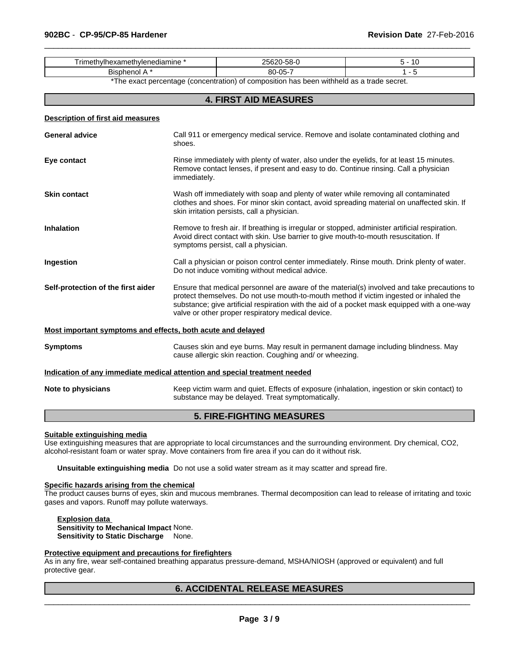| , iine<br>11/ | つら<br>$\sim$<br>. ו-רי |  |
|---------------|------------------------|--|
| BIS<br>--     | -<br>$80 - 05 -$       |  |

\*The exact percentage (concentration) of composition has been withheld as a trade secret.

 $\overline{\phantom{a}}$  ,  $\overline{\phantom{a}}$  ,  $\overline{\phantom{a}}$  ,  $\overline{\phantom{a}}$  ,  $\overline{\phantom{a}}$  ,  $\overline{\phantom{a}}$  ,  $\overline{\phantom{a}}$  ,  $\overline{\phantom{a}}$  ,  $\overline{\phantom{a}}$  ,  $\overline{\phantom{a}}$  ,  $\overline{\phantom{a}}$  ,  $\overline{\phantom{a}}$  ,  $\overline{\phantom{a}}$  ,  $\overline{\phantom{a}}$  ,  $\overline{\phantom{a}}$  ,  $\overline{\phantom{a}}$ 

# **4. FIRST AID MEASURES**

| <b>Description of first aid measures</b>                    |                                                                                                                                                                                                                                                                                                                                            |
|-------------------------------------------------------------|--------------------------------------------------------------------------------------------------------------------------------------------------------------------------------------------------------------------------------------------------------------------------------------------------------------------------------------------|
| <b>General advice</b>                                       | Call 911 or emergency medical service. Remove and isolate contaminated clothing and<br>shoes.                                                                                                                                                                                                                                              |
| Eye contact                                                 | Rinse immediately with plenty of water, also under the eyelids, for at least 15 minutes.<br>Remove contact lenses, if present and easy to do. Continue rinsing. Call a physician<br>immediately.                                                                                                                                           |
| <b>Skin contact</b>                                         | Wash off immediately with soap and plenty of water while removing all contaminated<br>clothes and shoes. For minor skin contact, avoid spreading material on unaffected skin. If<br>skin irritation persists, call a physician.                                                                                                            |
| <b>Inhalation</b>                                           | Remove to fresh air. If breathing is irregular or stopped, administer artificial respiration.<br>Avoid direct contact with skin. Use barrier to give mouth-to-mouth resuscitation. If<br>symptoms persist, call a physician.                                                                                                               |
| Ingestion                                                   | Call a physician or poison control center immediately. Rinse mouth. Drink plenty of water.<br>Do not induce vomiting without medical advice.                                                                                                                                                                                               |
| Self-protection of the first aider                          | Ensure that medical personnel are aware of the material(s) involved and take precautions to<br>protect themselves. Do not use mouth-to-mouth method if victim ingested or inhaled the<br>substance; give artificial respiration with the aid of a pocket mask equipped with a one-way<br>valve or other proper respiratory medical device. |
| Most important symptoms and effects, both acute and delayed |                                                                                                                                                                                                                                                                                                                                            |
| <b>Symptoms</b>                                             | Causes skin and eye burns. May result in permanent damage including blindness. May<br>cause allergic skin reaction. Coughing and/ or wheezing.                                                                                                                                                                                             |
|                                                             | Indication of any immediate medical attention and special treatment needed                                                                                                                                                                                                                                                                 |
| Note to physicians                                          | Keep victim warm and quiet. Effects of exposure (inhalation, ingestion or skin contact) to<br>substance may be delayed. Treat symptomatically.                                                                                                                                                                                             |

# **5. FIRE-FIGHTING MEASURES**

#### **Suitable extinguishing media**

Use extinguishing measures that are appropriate to local circumstances and the surrounding environment. Dry chemical, CO2, alcohol-resistant foam or water spray. Move containers from fire area if you can do it without risk.

**Unsuitable extinguishing media** Do not use a solid water stream as it may scatter and spread fire.

# **Specific hazards arising from the chemical**

The product causes burns of eyes, skin and mucous membranes. Thermal decomposition can lead to release of irritating and toxic gases and vapors. Runoff may pollute waterways.

**Explosion data Sensitivity to Mechanical Impact** None. **Sensitivity to Static Discharge** None.

#### **Protective equipment and precautions for firefighters**

As in any fire, wear self-contained breathing apparatus pressure-demand, MSHA/NIOSH (approved or equivalent) and full protective gear.

# **6. ACCIDENTAL RELEASE MEASURES**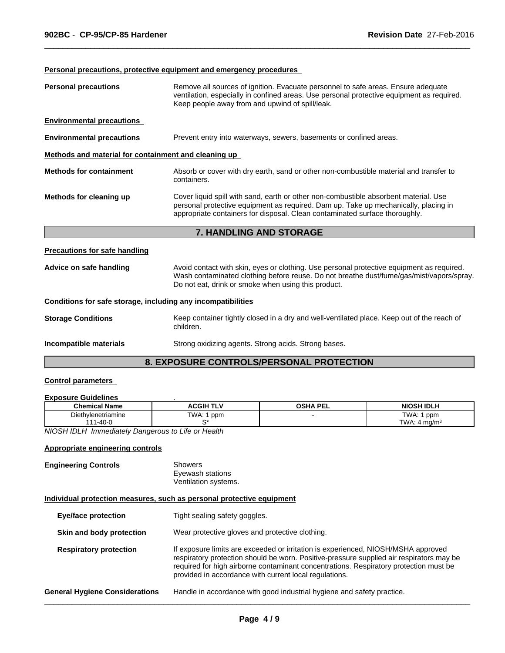# **Personal precautions, protective equipment and emergency procedures**

| <b>Personal precautions</b>                          | Remove all sources of ignition. Evacuate personnel to safe areas. Ensure adequate<br>ventilation, especially in confined areas. Use personal protective equipment as required.<br>Keep people away from and upwind of spill/leak.                          |  |
|------------------------------------------------------|------------------------------------------------------------------------------------------------------------------------------------------------------------------------------------------------------------------------------------------------------------|--|
| <b>Environmental precautions</b>                     |                                                                                                                                                                                                                                                            |  |
| <b>Environmental precautions</b>                     | Prevent entry into waterways, sewers, basements or confined areas.                                                                                                                                                                                         |  |
| Methods and material for containment and cleaning up |                                                                                                                                                                                                                                                            |  |
| <b>Methods for containment</b>                       | Absorb or cover with dry earth, sand or other non-combustible material and transfer to<br>containers.                                                                                                                                                      |  |
| Methods for cleaning up                              | Cover liquid spill with sand, earth or other non-combustible absorbent material. Use<br>personal protective equipment as required. Dam up. Take up mechanically, placing in<br>appropriate containers for disposal. Clean contaminated surface thoroughly. |  |
|                                                      | <b>7. HANDLING AND STORAGE</b>                                                                                                                                                                                                                             |  |

 $\overline{\phantom{a}}$  ,  $\overline{\phantom{a}}$  ,  $\overline{\phantom{a}}$  ,  $\overline{\phantom{a}}$  ,  $\overline{\phantom{a}}$  ,  $\overline{\phantom{a}}$  ,  $\overline{\phantom{a}}$  ,  $\overline{\phantom{a}}$  ,  $\overline{\phantom{a}}$  ,  $\overline{\phantom{a}}$  ,  $\overline{\phantom{a}}$  ,  $\overline{\phantom{a}}$  ,  $\overline{\phantom{a}}$  ,  $\overline{\phantom{a}}$  ,  $\overline{\phantom{a}}$  ,  $\overline{\phantom{a}}$ 

# **Precautions for safe handling**

| Advice on safe handling | Avoid contact with skin, eyes or clothing. Use personal protective equipment as required. |
|-------------------------|-------------------------------------------------------------------------------------------|
|                         | Wash contaminated clothing before reuse. Do not breathe dust/fume/gas/mist/vapors/spray.  |
|                         | Do not eat, drink or smoke when using this product.                                       |

# **Conditions for safe storage, including any incompatibilities**

| <b>Storage Conditions</b> | Keep container tightly closed in a dry and well-ventilated place. Keep out of the reach of<br>children. |
|---------------------------|---------------------------------------------------------------------------------------------------------|
| Incompatible materials    | Strong oxidizing agents. Strong acids. Strong bases.                                                    |

# **8. EXPOSURE CONTROLS/PERSONAL PROTECTION**

# **Control parameters**

#### **Exposure Guidelines** .

| <b>Chemical Name</b>                      | <b>\CGIH TLV</b>                           | <b>OSHA PEL</b> | <b>NIOSH IDLH</b>              |
|-------------------------------------------|--------------------------------------------|-----------------|--------------------------------|
| ∟ieth∪<br>vlenetriamine<br>1-40- $\Gamma$ | TWA.<br>ppm                                |                 | TWA.<br>ppm<br>TWA.<br>4 ma/mª |
| $\frac{1}{2}$                             | Improvedintally Demonstrate Life on Unalth |                 |                                |

*NIOSH IDLH Immediately Dangerous to Life or Health*

# **Appropriate engineering controls**

| <b>Engineering Controls</b> | Showers              |  |
|-----------------------------|----------------------|--|
|                             | Eyewash stations     |  |
|                             | Ventilation systems. |  |

# **Individual protection measures, such as personal protective equipment**

| <b>Eye/face protection</b>            | Tight sealing safety goggles.                                                                                                                                                                                                                                                                                                    |
|---------------------------------------|----------------------------------------------------------------------------------------------------------------------------------------------------------------------------------------------------------------------------------------------------------------------------------------------------------------------------------|
| Skin and body protection              | Wear protective gloves and protective clothing.                                                                                                                                                                                                                                                                                  |
| <b>Respiratory protection</b>         | If exposure limits are exceeded or irritation is experienced, NIOSH/MSHA approved<br>respiratory protection should be worn. Positive-pressure supplied air respirators may be<br>required for high airborne contaminant concentrations. Respiratory protection must be<br>provided in accordance with current local regulations. |
| <b>General Hygiene Considerations</b> | Handle in accordance with good industrial hygiene and safety practice.                                                                                                                                                                                                                                                           |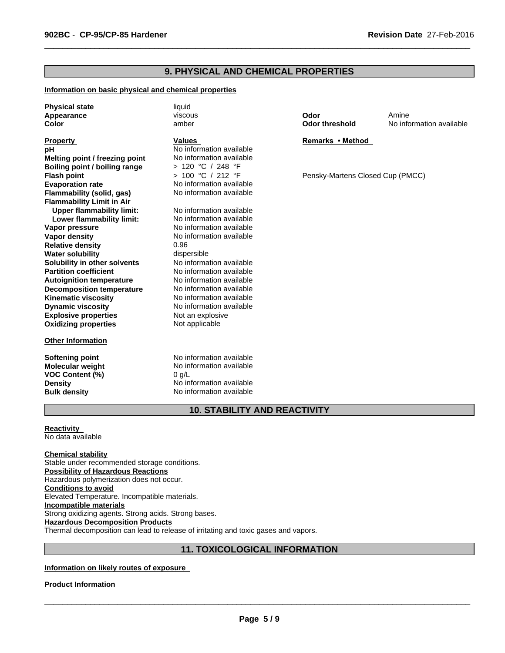# **9. PHYSICAL AND CHEMICAL PROPERTIES**

## **Information on basic physical and chemical properties**

**Physical state** liquid **Appearance Color**

#### **Property**

**Explosive properties** Not an explosive **Oxidizing properties** Not applicable **Solubility in other solvents** No information available<br> **Partition coefficient** No information available **Boiling point / boiling range** > 120 °C / 248 °F **Autoignition temperature** No information available **Flash point Decomposition temperature** No information available **Kinematic viscosity** No information available **Dynamic viscosity** No information available **Flammability (solid, gas) Flammability Limit in Air**<br>**Upper flammability limit:** No information available **Upper flammability limit:** No information available<br> **Lower flammability limit:** No information available **pH** No information available<br> **Melting point / freezing point** No information available **Lower flammability limit: Vapor pressure No information available Vapor density**<br> **Relative density**<br>  $\begin{array}{ccc}\n & 0.96 \\
\end{array}$ **Melting point / freezing point Relative density Water solubility** dispersible

#### **Other Information**

**VOC Content (%)** 0 g/L

viscous amber

#### **Values**

> 100 °C / 212 °F No information available<br>No information available

**No information available** 

**Softening point** No information available **Molecular weight** No information available **Density** No information available **Bulk density** No information available **Odor**

 $\overline{\phantom{a}}$  ,  $\overline{\phantom{a}}$  ,  $\overline{\phantom{a}}$  ,  $\overline{\phantom{a}}$  ,  $\overline{\phantom{a}}$  ,  $\overline{\phantom{a}}$  ,  $\overline{\phantom{a}}$  ,  $\overline{\phantom{a}}$  ,  $\overline{\phantom{a}}$  ,  $\overline{\phantom{a}}$  ,  $\overline{\phantom{a}}$  ,  $\overline{\phantom{a}}$  ,  $\overline{\phantom{a}}$  ,  $\overline{\phantom{a}}$  ,  $\overline{\phantom{a}}$  ,  $\overline{\phantom{a}}$ 

**Odor threshold** No information available Amine

## **Remarks•Method**

Pensky-Martens Closed Cup (PMCC)

# **10. STABILITY AND REACTIVITY**

**Reactivity**  No data available

**Chemical stability**

Stable under recommended storage conditions. **Possibility of Hazardous Reactions** Hazardous polymerization does not occur. **Conditions to avoid** Elevated Temperature. Incompatible materials. **Incompatible materials** Strong oxidizing agents. Strong acids. Strong bases. **Hazardous Decomposition Products** Thermal decomposition can lead to release of irritating and toxic gases and vapors.

# **11. TOXICOLOGICAL INFORMATION**

# **Information on likely routes of exposure**

#### **Product Information**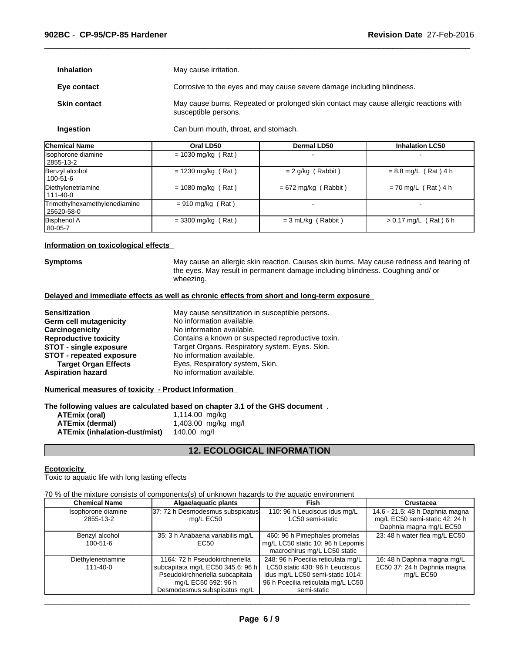| <b>Inhalation</b> | May cause irritation. |
|-------------------|-----------------------|
|-------------------|-----------------------|

**Eye contact** Corrosive to the eyes and may cause severe damage including blindness.

 $\overline{\phantom{a}}$  ,  $\overline{\phantom{a}}$  ,  $\overline{\phantom{a}}$  ,  $\overline{\phantom{a}}$  ,  $\overline{\phantom{a}}$  ,  $\overline{\phantom{a}}$  ,  $\overline{\phantom{a}}$  ,  $\overline{\phantom{a}}$  ,  $\overline{\phantom{a}}$  ,  $\overline{\phantom{a}}$  ,  $\overline{\phantom{a}}$  ,  $\overline{\phantom{a}}$  ,  $\overline{\phantom{a}}$  ,  $\overline{\phantom{a}}$  ,  $\overline{\phantom{a}}$  ,  $\overline{\phantom{a}}$ 

**Skin contact** May cause burns. Repeated or prolonged skin contact may cause allergic reactions with susceptible persons.

**Ingestion** Can burn mouth, throat, and stomach.

| <b>Chemical Name</b>                        | Oral LD50            | <b>Dermal LD50</b>     | <b>Inhalation LC50</b>  |
|---------------------------------------------|----------------------|------------------------|-------------------------|
| Isophorone diamine<br>2855-13-2             | $= 1030$ mg/kg (Rat) |                        |                         |
| Benzyl alcohol<br>  100-51-6                | $= 1230$ mg/kg (Rat) | $= 2$ g/kg (Rabbit)    | $= 8.8$ mg/L (Rat) 4 h  |
| Diethylenetriamine<br>1111-40-0             | $= 1080$ mg/kg (Rat) | $= 672$ mg/kg (Rabbit) | $= 70$ mg/L (Rat) 4 h   |
| Trimethylhexamethylenediamine<br>25620-58-0 | $= 910$ mg/kg (Rat)  |                        |                         |
| <b>Bisphenol A</b><br>$ 80-05-7$            | $=$ 3300 mg/kg (Rat) | $= 3$ mL/kg (Rabbit)   | $> 0.17$ mg/L (Rat) 6 h |

#### **Information on toxicological effects**

**Symptoms** May cause an allergic skin reaction. Causes skin burns. May cause redness and tearing of the eyes. May result in permanent damage including blindness. Coughing and/ or wheezing.

#### **Delayed and immediate effects as well as chronic effects from short and long-term exposure**

| <b>Sensitization</b>            | May cause sensitization in susceptible persons.   |
|---------------------------------|---------------------------------------------------|
| Germ cell mutagenicity          | No information available.                         |
| Carcinogenicity                 | No information available.                         |
| <b>Reproductive toxicity</b>    | Contains a known or suspected reproductive toxin. |
| STOT - single exposure          | Target Organs. Respiratory system. Eyes. Skin.    |
| <b>STOT - repeated exposure</b> | No information available.                         |
| <b>Target Organ Effects</b>     | Eyes, Respiratory system, Skin.                   |
| <b>Aspiration hazard</b>        | No information available.                         |

#### **Numerical measures of toxicity - Product Information**

**The following values are calculated based on chapter 3.1 of the GHS document** .

| ATEmix (oral)                 | 1,114.00 mg/kg      |
|-------------------------------|---------------------|
| ATEmix (dermal)               | 1,403.00 mg/kg mg/l |
| ATEmix (inhalation-dust/mist) | 140.00 ma/l         |

# **12. ECOLOGICAL INFORMATION**

#### **Ecotoxicity**

Toxic to aquatic life with long lasting effects

70 % of the mixture consists of components(s) of unknown hazards to the aquatic environment

| <b>Chemical Name</b>                 | Algae/aguatic plants                                                                                                                                          | Fish                                                                                                                                                           | <b>Crustacea</b>                                                                             |
|--------------------------------------|---------------------------------------------------------------------------------------------------------------------------------------------------------------|----------------------------------------------------------------------------------------------------------------------------------------------------------------|----------------------------------------------------------------------------------------------|
| Isophorone diamine<br>2855-13-2      | 37: 72 h Desmodesmus subspicatus<br>mg/L EC50                                                                                                                 | 110: 96 h Leuciscus idus mg/L<br>LC50 semi-static                                                                                                              | 14.6 - 21.5: 48 h Daphnia magna<br>mg/L EC50 semi-static 42: 24 h<br>Daphnia magna mg/L EC50 |
| Benzyl alcohol<br>$100 - 51 - 6$     | 35: 3 h Anabaena variabilis mg/L<br>EC <sub>50</sub>                                                                                                          | 460: 96 h Pimephales promelas<br>mg/L LC50 static 10: 96 h Lepomis<br>macrochirus mg/L LC50 static                                                             | 23: 48 h water flea mg/L EC50                                                                |
| Diethylenetriamine<br>$111 - 40 - 0$ | 1164: 72 h Pseudokirchneriella<br>subcapitata mg/L EC50 345.6: 96 h<br>Pseudokirchneriella subcapitata<br>mg/L EC50 592: 96 h<br>Desmodesmus subspicatus mg/L | 248: 96 h Poecilia reticulata mg/L<br>LC50 static 430: 96 h Leuciscus<br>idus mg/L LC50 semi-static 1014:<br>96 h Poecilia reticulata mg/L LC50<br>semi-static | 16: 48 h Daphnia magna mg/L<br>EC50 37: 24 h Daphnia magna<br>mg/L EC50                      |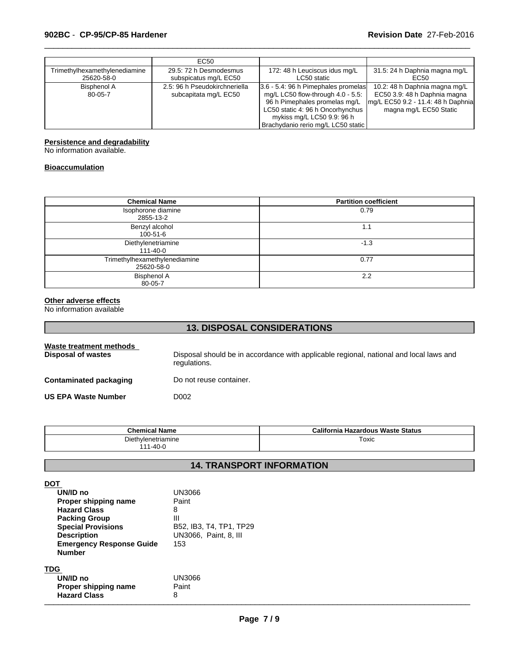|                                             | EC <sub>50</sub>                                       |                                                                                                                                                                                                                      |                                                                                                                               |
|---------------------------------------------|--------------------------------------------------------|----------------------------------------------------------------------------------------------------------------------------------------------------------------------------------------------------------------------|-------------------------------------------------------------------------------------------------------------------------------|
| Trimethylhexamethylenediamine<br>25620-58-0 | 29.5: 72 h Desmodesmus<br>subspicatus mg/L EC50        | 172: 48 h Leuciscus idus mg/L<br>LC50 static                                                                                                                                                                         | 31.5: 24 h Daphnia magna mg/L<br>EC50                                                                                         |
| Bisphenol A<br>80-05-7                      | 2.5: 96 h Pseudokirchneriella<br>subcapitata mg/L EC50 | 3.6 - 5.4: 96 h Pimephales promelas<br>mg/L LC50 flow-through $4.0 - 5.5$ :<br>96 h Pimephales promelas mg/L<br>LC50 static 4: 96 h Oncorhynchus<br>mykiss mg/L LC50 9.9: 96 h<br>Brachydanio rerio mg/L LC50 static | 10.2: 48 h Daphnia magna mg/L<br>EC50 3.9: 48 h Daphnia magna<br>mg/L EC50 9.2 - 11.4: 48 h Daphnia<br>magna mg/L EC50 Static |

 $\overline{\phantom{a}}$  ,  $\overline{\phantom{a}}$  ,  $\overline{\phantom{a}}$  ,  $\overline{\phantom{a}}$  ,  $\overline{\phantom{a}}$  ,  $\overline{\phantom{a}}$  ,  $\overline{\phantom{a}}$  ,  $\overline{\phantom{a}}$  ,  $\overline{\phantom{a}}$  ,  $\overline{\phantom{a}}$  ,  $\overline{\phantom{a}}$  ,  $\overline{\phantom{a}}$  ,  $\overline{\phantom{a}}$  ,  $\overline{\phantom{a}}$  ,  $\overline{\phantom{a}}$  ,  $\overline{\phantom{a}}$ 

#### **Persistence and degradability**

No information available.

#### **Bioaccumulation**

| <b>Chemical Name</b>                        | <b>Partition coefficient</b> |
|---------------------------------------------|------------------------------|
| Isophorone diamine<br>2855-13-2             | 0.79                         |
| Benzyl alcohol<br>100-51-6                  | 1.1                          |
| Diethylenetriamine<br>111-40-0              | $-1.3$                       |
| Trimethylhexamethylenediamine<br>25620-58-0 | 0.77                         |
| <b>Bisphenol A</b><br>80-05-7               | 2.2                          |

#### **Other adverse effects**

No information available

# **13. DISPOSAL CONSIDERATIONS**

| Waste treatment methods<br>Disposal of wastes | Disposal should be in accordance with applicable regional, national and local laws and<br>regulations. |
|-----------------------------------------------|--------------------------------------------------------------------------------------------------------|
| <b>Contaminated packaging</b>                 | Do not reuse container.                                                                                |
| <b>US EPA Waste Number</b>                    | D002                                                                                                   |

| <b>Chemical Name</b>         | California<br>a Hazardous Waste Status |
|------------------------------|----------------------------------------|
| Diethylenetriamine           | Toxic                                  |
| $1 - 40 - 0$<br>1 <i>A A</i> |                                        |

# **14. TRANSPORT INFORMATION**

| <b>DOT</b>                      |                         |
|---------------------------------|-------------------------|
| UN/ID no                        | UN3066                  |
| Proper shipping name            | Paint                   |
| <b>Hazard Class</b>             | 8                       |
| <b>Packing Group</b>            | Ш                       |
| <b>Special Provisions</b>       | B52, IB3, T4, TP1, TP29 |
| <b>Description</b>              | UN3066, Paint, 8, III   |
| <b>Emergency Response Guide</b> | 153                     |
| <b>Number</b>                   |                         |
|                                 |                         |
| <b>TDG</b>                      |                         |
| UN/ID no                        | UN3066                  |
| Proper shipping name            | Paint                   |
| <b>Hazard Class</b>             | 8                       |
|                                 |                         |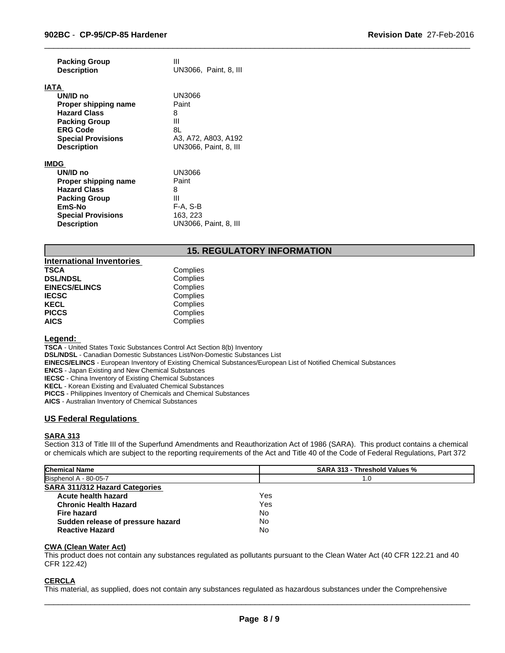| <b>Packing Group</b>      | Ш                            |
|---------------------------|------------------------------|
| <b>Description</b>        | UN3066, Paint, 8, III        |
|                           |                              |
| IATA                      |                              |
| UN/ID no                  | UN3066                       |
| Proper shipping name      | Paint                        |
| <b>Hazard Class</b>       | 8                            |
| <b>Packing Group</b>      | Ш                            |
| <b>ERG Code</b>           | 8L                           |
| <b>Special Provisions</b> | A3, A72, A803, A192          |
| <b>Description</b>        | UN3066, Paint, 8, III        |
|                           |                              |
| <b>IMDG</b>               |                              |
| UN/ID no                  | UN3066                       |
| Proper shipping name      | Paint                        |
| <b>Hazard Class</b>       | 8                            |
| <b>Packing Group</b>      | Ш                            |
| EmS-No                    | F-A, S-B                     |
| <b>Special Provisions</b> | 163, 223                     |
| <b>Description</b>        | <b>UN3066, Paint, 8, III</b> |

# **15. REGULATORY INFORMATION**

 $\overline{\phantom{a}}$  ,  $\overline{\phantom{a}}$  ,  $\overline{\phantom{a}}$  ,  $\overline{\phantom{a}}$  ,  $\overline{\phantom{a}}$  ,  $\overline{\phantom{a}}$  ,  $\overline{\phantom{a}}$  ,  $\overline{\phantom{a}}$  ,  $\overline{\phantom{a}}$  ,  $\overline{\phantom{a}}$  ,  $\overline{\phantom{a}}$  ,  $\overline{\phantom{a}}$  ,  $\overline{\phantom{a}}$  ,  $\overline{\phantom{a}}$  ,  $\overline{\phantom{a}}$  ,  $\overline{\phantom{a}}$ 

| <b>International Inventories</b> |          |
|----------------------------------|----------|
| <b>TSCA</b>                      | Complies |
| <b>DSL/NDSL</b>                  | Complies |
| <b>EINECS/ELINCS</b>             | Complies |
| <b>IECSC</b>                     | Complies |
| <b>KECL</b>                      | Complies |
| <b>PICCS</b>                     | Complies |
| <b>AICS</b>                      | Complies |

#### **Legend:**

**TSCA** - United States Toxic Substances Control Act Section 8(b) Inventory **DSL/NDSL** - Canadian Domestic Substances List/Non-Domestic Substances List **EINECS/ELINCS** - European Inventory of Existing Chemical Substances/European List of Notified Chemical Substances **ENCS** - Japan Existing and New Chemical Substances **IECSC** - China Inventory of Existing Chemical Substances **KECL** - Korean Existing and Evaluated Chemical Substances **PICCS** - Philippines Inventory of Chemicals and Chemical Substances **AICS** - Australian Inventory of Chemical Substances

#### **US Federal Regulations**

# **SARA 313**

Section 313 of Title III of the Superfund Amendments and Reauthorization Act of 1986 (SARA). This product contains a chemical or chemicals which are subject to the reporting requirements of the Act and Title 40 of the Code of Federal Regulations, Part 372

| <b>Chemical Name</b>                  | <b>SARA 313 - Threshold Values %</b> |  |
|---------------------------------------|--------------------------------------|--|
| Bisphenol A - 80-05-7                 | 1.0                                  |  |
| <b>SARA 311/312 Hazard Categories</b> |                                      |  |
| Acute health hazard                   | Yes                                  |  |
| <b>Chronic Health Hazard</b>          | Yes                                  |  |
| <b>Fire hazard</b>                    | No                                   |  |
| Sudden release of pressure hazard     | No                                   |  |
| <b>Reactive Hazard</b>                | No                                   |  |

#### **CWA (Clean Water Act)**

This product does not contain any substances regulated as pollutants pursuant to the Clean Water Act (40 CFR 122.21 and 40 CFR 122.42)

# **CERCLA**

This material, as supplied, does not contain any substances regulated as hazardous substances under the Comprehensive